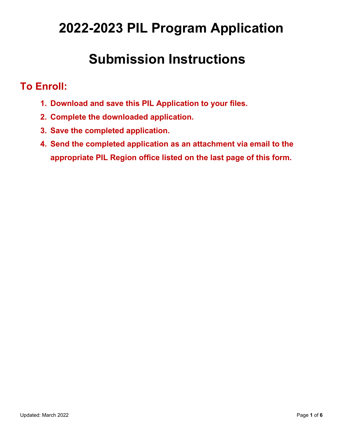# **2022-2023 PIL Program Application**

# **Submission Instructions**

# **To Enroll:**

- **1. Download and save this PIL Application to your files.**
- **2. Complete the downloaded application.**
- **3. Save the completed application.**
- **4. Send the completed application as an attachment via email to the appropriate PIL Region office listed on the last page of this form.**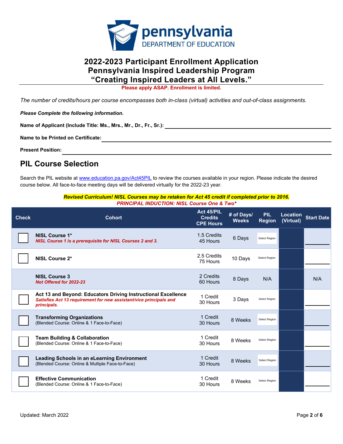

### **2022-2023 Participant Enrollment Application Pennsylvania Inspired Leadership Program "Creating Inspired Leaders at All Levels."**

**Please apply ASAP. Enrollment is limited.** 

 *The number of credits/hours per course encompasses both in-class (virtual) activities and out-of-class assignments.* 

*Please Complete the following information.* 

Name of Applicant (Include Title: Ms., Mrs., Mr., Dr., Fr., Sr.): <sub>.</sub><br>Name to be Printed on Certificate:

**Present Position:** 

### **PIL Course Selection**

Search the PIL website at <u>www.education.pa.gov/Act45PIL</u> to review the courses available in your region. Please indicate the desired course below. All face-to-face meeting days will be delivered virtually for the 2022-23 year.

### *Revised Curriculum! NISL Courses may be retaken for Act 45 credit if completed prior to 2016. PRINCIPAL INDUCTION: NISL Course One & Two\**

| <b>Check</b> | <b>Cohort</b>                                                                                                                                      | Act 45/PIL<br><b>Credits</b><br><b>CPE Hours</b> | # of Days/<br><b>Weeks</b> | <b>PIL</b><br><b>Region</b> | Location<br>(Virtual) | <b>Start Date</b> |
|--------------|----------------------------------------------------------------------------------------------------------------------------------------------------|--------------------------------------------------|----------------------------|-----------------------------|-----------------------|-------------------|
|              | NISL Course 1*<br>NISL Course 1 is a prerequisite for NISL Courses 2 and 3.                                                                        | 1.5 Credits<br>45 Hours                          | 6 Days                     | Select Region               |                       |                   |
|              | NISL Course 2*                                                                                                                                     | 2.5 Credits<br>75 Hours                          | 10 Days                    | Select Region               |                       |                   |
|              | <b>NISL Course 3</b><br>Not Offered for 2022-23                                                                                                    | 2 Credits<br>60 Hours                            | 8 Days                     | N/A                         |                       | N/A               |
|              | Act 13 and Beyond: Educators Driving Instructional Excellence<br>Satisfies Act 13 requirement for new assistant/vice principals and<br>principals. | 1 Credit<br>30 Hours                             | 3 Days                     | Select Region               |                       |                   |
|              | <b>Transforming Organizations</b><br>(Blended Course: Online & 1 Face-to-Face)                                                                     | 1 Credit<br>30 Hours                             | 8 Weeks                    | Select Region               |                       |                   |
|              | <b>Team Building &amp; Collaboration</b><br>(Blended Course: Online & 1 Face-to-Face)                                                              | 1 Credit<br>30 Hours                             | 8 Weeks                    | Select Region               |                       |                   |
|              | <b>Leading Schools in an eLearning Environment</b><br>(Blended Course: Online & Multiple Face-to-Face)                                             | 1 Credit<br>30 Hours                             | 8 Weeks                    | Select Region               |                       |                   |
|              | <b>Effective Communication</b><br>(Blended Course: Online & 1 Face-to-Face)                                                                        | 1 Credit<br>30 Hours                             | 8 Weeks                    | Select Region               |                       |                   |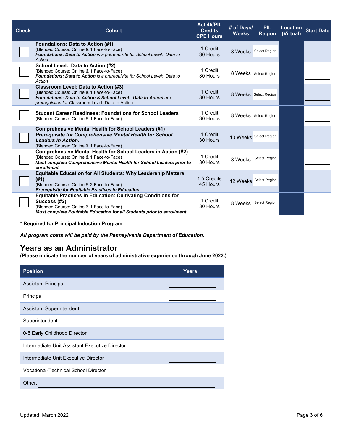| <b>Check</b> | <b>Cohort</b>                                                                                                                                                                                                   | Act 45/PIL<br><b>Credits</b><br><b>CPE Hours</b> | # of Days/<br><b>Weeks</b> | <b>PIL</b><br><b>Region</b> | Location<br>(Virtual) | <b>Start Date</b> |
|--------------|-----------------------------------------------------------------------------------------------------------------------------------------------------------------------------------------------------------------|--------------------------------------------------|----------------------------|-----------------------------|-----------------------|-------------------|
|              | <b>Foundations: Data to Action (#1)</b><br>(Blended Course: Online & 1 Face-to-Face)<br>Foundations: Data to Action is a prerequisite for School Level: Data to<br>Action                                       | 1 Credit<br>30 Hours                             |                            | 8 Weeks Select Region       |                       |                   |
|              | School Level: Data to Action (#2)<br>(Blended Course: Online & 1 Face-to-Face)<br>Foundations: Data to Action is a prerequisite for School Level: Data to<br>Action                                             | 1 Credit<br>30 Hours                             |                            | 8 Weeks Select Region       |                       |                   |
|              | <b>Classroom Level: Data to Action (#3)</b><br>(Blended Course: Online & 1 Face-to-Face)<br>Foundations: Data to Action & School Level: Data to Action are<br>prerequisites for Classroom Level: Data to Action | 1 Credit<br>30 Hours                             |                            | 8 Weeks Select Region       |                       |                   |
|              | <b>Student Career Readiness: Foundations for School Leaders</b><br>(Blended Course: Online & 1 Face-to-Face)                                                                                                    | 1 Credit<br>30 Hours                             |                            | 8 Weeks Select Region       |                       |                   |
|              | <b>Comprehensive Mental Health for School Leaders (#1)</b><br><b>Prerequisite for Comprehensive Mental Health for School</b><br><b>Leaders in Action.</b><br>(Blended Course: Online & 1 Face-to-Face)          | 1 Credit<br>30 Hours                             | 10 Weeks Select Region     |                             |                       |                   |
|              | Comprehensive Mental Health for School Leaders in Action (#2)<br>(Blended Course: Online & 1 Face-to-Face)<br>Must complete Comprehensive Mental Health for School Leaders prior to<br>enrollment.              | 1 Credit<br>30 Hours                             | 8 Weeks                    | Select Region               |                       |                   |
|              | <b>Equitable Education for All Students: Why Leadership Matters</b><br>(#1)<br>(Blended Course: Online & 2 Face-to-Face)<br>Prerequisite for Equitable Practices in Education.                                  | 1.5 Credits<br>45 Hours                          |                            | 12 Weeks Select Region      |                       |                   |
|              | <b>Equitable Practices in Education: Cultivating Conditions for</b><br>Success (#2)<br>(Blended Course: Online & 1 Face-to-Face)<br>Must complete Equitable Education for all Students prior to enrollment.     | 1 Credit<br>30 Hours                             | 8 Weeks                    | Select Region               |                       |                   |

**\* Required for Principal Induction Program** 

 *All program costs will be paid by the Pennsylvania Department of Education.* 

### **Years as an Administrator**

 **(Please indicate the number of years of administrative experience through June 2022.)** 

| <b>Position</b>                                | <b>Years</b> |
|------------------------------------------------|--------------|
| <b>Assistant Principal</b>                     |              |
| Principal                                      |              |
| Assistant Superintendent                       |              |
| Superintendent                                 |              |
| 0-5 Early Childhood Director                   |              |
| Intermediate Unit Assistant Executive Director |              |
| Intermediate Unit Executive Director           |              |
| <b>Vocational-Technical School Director</b>    |              |
| Other:                                         |              |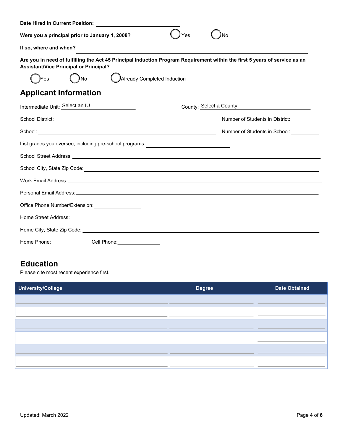| Date Hired in Current Position:                                                                                                                                             |                                            |  |  |  |  |
|-----------------------------------------------------------------------------------------------------------------------------------------------------------------------------|--------------------------------------------|--|--|--|--|
| Were you a principal prior to January 1, 2008?                                                                                                                              |                                            |  |  |  |  |
| If so, where and when?                                                                                                                                                      |                                            |  |  |  |  |
| Are you in need of fulfilling the Act 45 Principal Induction Program Requirement within the first 5 years of service as an<br><b>Assistant/Vice Principal or Principal?</b> |                                            |  |  |  |  |
| Already Completed Induction<br>) No<br>Yes                                                                                                                                  |                                            |  |  |  |  |
| <b>Applicant Information</b>                                                                                                                                                |                                            |  |  |  |  |
| Intermediate Unit: Select an IU<br>County: Select a County                                                                                                                  |                                            |  |  |  |  |
|                                                                                                                                                                             | Number of Students in District: __________ |  |  |  |  |
|                                                                                                                                                                             | Number of Students in School:              |  |  |  |  |
| List grades you oversee, including pre-school programs:                                                                                                                     |                                            |  |  |  |  |
|                                                                                                                                                                             |                                            |  |  |  |  |
|                                                                                                                                                                             |                                            |  |  |  |  |
|                                                                                                                                                                             |                                            |  |  |  |  |
|                                                                                                                                                                             |                                            |  |  |  |  |
| Office Phone Number/Extension: __________________                                                                                                                           |                                            |  |  |  |  |
|                                                                                                                                                                             |                                            |  |  |  |  |
|                                                                                                                                                                             |                                            |  |  |  |  |
| Home Phone: Cell Phone: Cell Company Cell Phone:                                                                                                                            |                                            |  |  |  |  |

## **Education**

Please cite most recent experience first.

| University/College | <b>Degree</b> | <b>Date Obtained</b> |
|--------------------|---------------|----------------------|
|                    |               |                      |
|                    |               |                      |
|                    |               |                      |
|                    |               |                      |
|                    |               |                      |
|                    |               |                      |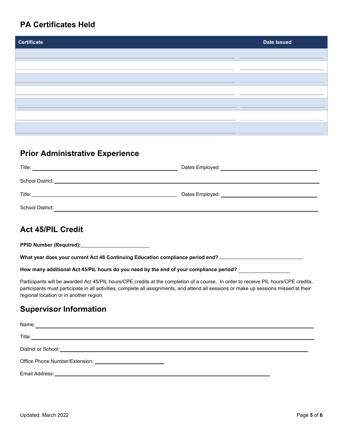### **PA Certificates Held**

| <b>Certificate</b> | <b>Date Issued</b> |
|--------------------|--------------------|
|                    |                    |
|                    |                    |
|                    |                    |
|                    |                    |
|                    |                    |
|                    |                    |
|                    |                    |
|                    |                    |

# **Prior Administrative Experience**

| Title:           | Dates Employed: ______________________________ |
|------------------|------------------------------------------------|
| School District: |                                                |
| Title:           | Dates Employed:                                |
| School District: |                                                |

## **Act 45/PIL Credit**

**PPID Number (Required): What year does your current Act 48 Continuing Education compliance period end? How many additional Act 45/PIL hours do you need by the end of your compliance period?** 

Participants will be awarded Act 45/PIL hours/CPE credits at the completion of a course. In order to receive PIL hours/CPE credits, participants must participate in all activities, complete all assignments, and attend all sessions or make up sessions missed at their regional location or in another region.

### **Supervisor Information**

| Name:<br>,我们也不会有什么。""我们的人,我们也不会有什么?""我们的人,我们也不会有什么?""我们的人,我们也不会有什么?""我们的人,我们也不会有什么?""我们的人 |  |
|-------------------------------------------------------------------------------------------|--|
|                                                                                           |  |
|                                                                                           |  |
|                                                                                           |  |
|                                                                                           |  |